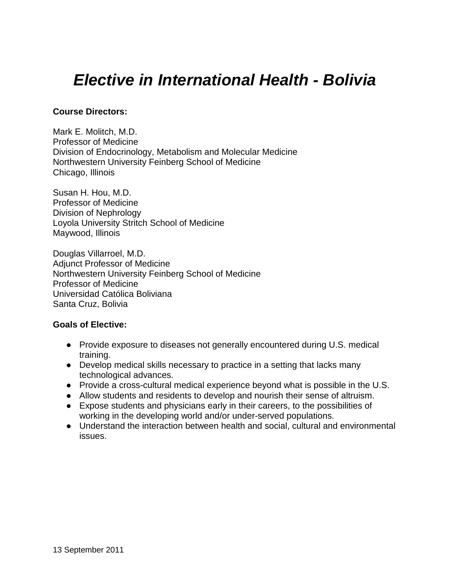# *Elective in International Health - Bolivia*

### **Course Directors:**

Mark E. Molitch, M.D. Professor of Medicine Division of Endocrinology, Metabolism and Molecular Medicine Northwestern University Feinberg School of Medicine Chicago, Illinois

Susan H. Hou, M.D. Professor of Medicine Division of Nephrology Loyola University Stritch School of Medicine Maywood, Illinois

Douglas Villarroel, M.D. Adjunct Professor of Medicine Northwestern University Feinberg School of Medicine Professor of Medicine Universidad Católica Boliviana Santa Cruz, Bolivia

### **Goals of Elective:**

- Provide exposure to diseases not generally encountered during U.S. medical training.
- Develop medical skills necessary to practice in a setting that lacks many technological advances.
- Provide a cross-cultural medical experience beyond what is possible in the U.S.
- Allow students and residents to develop and nourish their sense of altruism.
- Expose students and physicians early in their careers, to the possibilities of working in the developing world and/or under-served populations.
- Understand the interaction between health and social, cultural and environmental issues.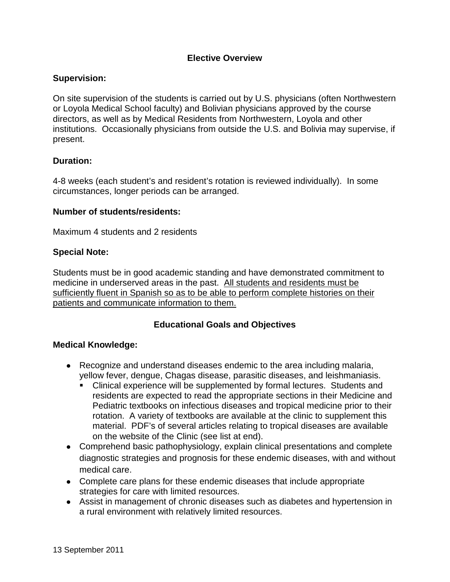# **Elective Overview**

### **Supervision:**

On site supervision of the students is carried out by U.S. physicians (often Northwestern or Loyola Medical School faculty) and Bolivian physicians approved by the course directors, as well as by Medical Residents from Northwestern, Loyola and other institutions. Occasionally physicians from outside the U.S. and Bolivia may supervise, if present.

# **Duration:**

4-8 weeks (each student's and resident's rotation is reviewed individually). In some circumstances, longer periods can be arranged.

### **Number of students/residents:**

Maximum 4 students and 2 residents

### **Special Note:**

Students must be in good academic standing and have demonstrated commitment to medicine in underserved areas in the past. All students and residents must be sufficiently fluent in Spanish so as to be able to perform complete histories on their patients and communicate information to them.

# **Educational Goals and Objectives**

### **Medical Knowledge:**

- Recognize and understand diseases endemic to the area including malaria, yellow fever, dengue, Chagas disease, parasitic diseases, and leishmaniasis.
	- Clinical experience will be supplemented by formal lectures. Students and residents are expected to read the appropriate sections in their Medicine and Pediatric textbooks on infectious diseases and tropical medicine prior to their rotation. A variety of textbooks are available at the clinic to supplement this material. PDF's of several articles relating to tropical diseases are available on the website of the Clinic (see list at end).
- Comprehend basic pathophysiology, explain clinical presentations and complete diagnostic strategies and prognosis for these endemic diseases, with and without medical care.
- Complete care plans for these endemic diseases that include appropriate strategies for care with limited resources.
- Assist in management of chronic diseases such as diabetes and hypertension in a rural environment with relatively limited resources.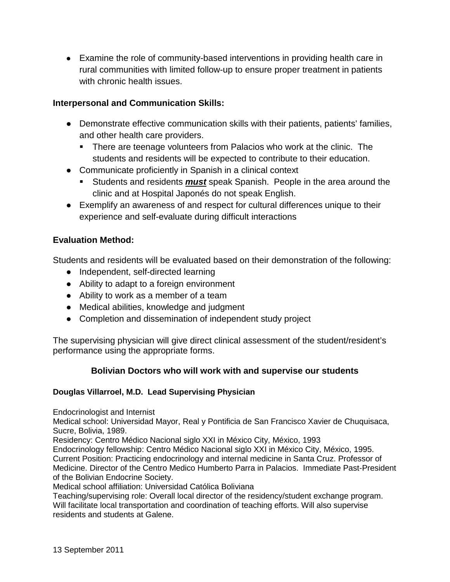● Examine the role of community-based interventions in providing health care in rural communities with limited follow-up to ensure proper treatment in patients with chronic health issues.

# **Interpersonal and Communication Skills:**

- Demonstrate effective communication skills with their patients, patients' families, and other health care providers.
	- **There are teenage volunteers from Palacios who work at the clinic. The** students and residents will be expected to contribute to their education.
- Communicate proficiently in Spanish in a clinical context
	- Students and residents *must* speak Spanish. People in the area around the clinic and at Hospital Japonés do not speak English.
- Exemplify an awareness of and respect for cultural differences unique to their experience and self-evaluate during difficult interactions

# **Evaluation Method:**

Students and residents will be evaluated based on their demonstration of the following:

- Independent, self-directed learning
- Ability to adapt to a foreign environment
- Ability to work as a member of a team
- Medical abilities, knowledge and judgment
- Completion and dissemination of independent study project

The supervising physician will give direct clinical assessment of the student/resident's performance using the appropriate forms.

### **Bolivian Doctors who will work with and supervise our students**

### **Douglas Villarroel, M.D. Lead Supervising Physician**

Endocrinologist and Internist

Medical school: Universidad Mayor, Real y Pontificia de San Francisco Xavier de Chuquisaca, Sucre, Bolivia, 1989.

Residency: Centro Médico Nacional siglo XXI in México City, México, 1993

Endocrinology fellowship: Centro Médico Nacional siglo XXI in México City, México, 1995. Current Position: Practicing endocrinology and internal medicine in Santa Cruz. Professor of Medicine. Director of the Centro Medico Humberto Parra in Palacios. Immediate Past-President of the Bolivian Endocrine Society.

Medical school affiliation: Universidad Católica Boliviana

Teaching/supervising role: Overall local director of the residency/student exchange program. Will facilitate local transportation and coordination of teaching efforts. Will also supervise residents and students at Galene.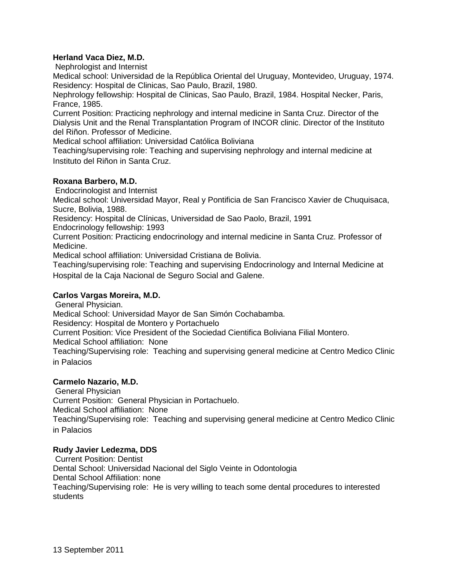### **Herland Vaca Diez, M.D.**

Nephrologist and Internist

Medical school: Universidad de la República Oriental del Uruguay, Montevideo, Uruguay, 1974. Residency: Hospital de Clinicas, Sao Paulo, Brazil, 1980.

Nephrology fellowship: Hospital de Clinicas, Sao Paulo, Brazil, 1984. Hospital Necker, Paris, France, 1985.

Current Position: Practicing nephrology and internal medicine in Santa Cruz. Director of the Dialysis Unit and the Renal Transplantation Program of INCOR clinic. Director of the Instituto del Riñon. Professor of Medicine.

Medical school affiliation: Universidad Católica Boliviana

Teaching/supervising role: Teaching and supervising nephrology and internal medicine at Instituto del Riñon in Santa Cruz.

### **Roxana Barbero, M.D.**

Endocrinologist and Internist

Medical school: Universidad Mayor, Real y Pontificia de San Francisco Xavier de Chuquisaca, Sucre, Bolivia, 1988.

Residency: Hospital de Clínicas, Universidad de Sao Paolo, Brazil, 1991

Endocrinology fellowship: 1993

Current Position: Practicing endocrinology and internal medicine in Santa Cruz. Professor of Medicine.

Medical school affiliation: Universidad Cristiana de Bolivia.

Teaching/supervising role: Teaching and supervising Endocrinology and Internal Medicine at Hospital de la Caja Nacional de Seguro Social and Galene.

### **Carlos Vargas Moreira, M.D.**

General Physician.

Medical School: Universidad Mayor de San Simón Cochabamba.

Residency: Hospital de Montero y Portachuelo

Current Position: Vice President of the Sociedad Cientifica Boliviana Filial Montero.

Medical School affiliation: None

Teaching/Supervising role: Teaching and supervising general medicine at Centro Medico Clinic in Palacios

### **Carmelo Nazario, M.D.**

General Physician

Current Position: General Physician in Portachuelo.

Medical School affiliation: None

Teaching/Supervising role: Teaching and supervising general medicine at Centro Medico Clinic in Palacios

### **Rudy Javier Ledezma, DDS**

Current Position: Dentist Dental School: Universidad Nacional del Siglo Veinte in Odontologia Dental School Affiliation: none Teaching/Supervising role: He is very willing to teach some dental procedures to interested students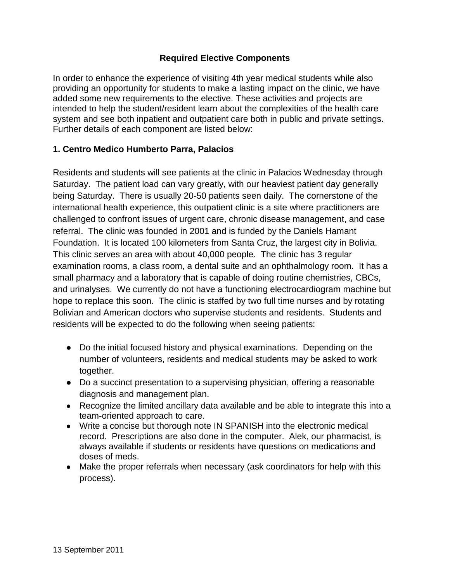# **Required Elective Components**

In order to enhance the experience of visiting 4th year medical students while also providing an opportunity for students to make a lasting impact on the clinic, we have added some new requirements to the elective. These activities and projects are intended to help the student/resident learn about the complexities of the health care system and see both inpatient and outpatient care both in public and private settings. Further details of each component are listed below:

# **1. Centro Medico Humberto Parra, Palacios**

Residents and students will see patients at the clinic in Palacios Wednesday through Saturday. The patient load can vary greatly, with our heaviest patient day generally being Saturday. There is usually 20-50 patients seen daily. The cornerstone of the international health experience, this outpatient clinic is a site where practitioners are challenged to confront issues of urgent care, chronic disease management, and case referral. The clinic was founded in 2001 and is funded by the Daniels Hamant Foundation. It is located 100 kilometers from Santa Cruz, the largest city in Bolivia. This clinic serves an area with about 40,000 people. The clinic has 3 regular examination rooms, a class room, a dental suite and an ophthalmology room. It has a small pharmacy and a laboratory that is capable of doing routine chemistries, CBCs, and urinalyses. We currently do not have a functioning electrocardiogram machine but hope to replace this soon. The clinic is staffed by two full time nurses and by rotating Bolivian and American doctors who supervise students and residents. Students and residents will be expected to do the following when seeing patients:

- Do the initial focused history and physical examinations. Depending on the number of volunteers, residents and medical students may be asked to work together.
- Do a succinct presentation to a supervising physician, offering a reasonable diagnosis and management plan.
- Recognize the limited ancillary data available and be able to integrate this into a team-oriented approach to care.
- Write a concise but thorough note IN SPANISH into the electronic medical record. Prescriptions are also done in the computer. Alek, our pharmacist, is always available if students or residents have questions on medications and doses of meds.
- Make the proper referrals when necessary (ask coordinators for help with this process).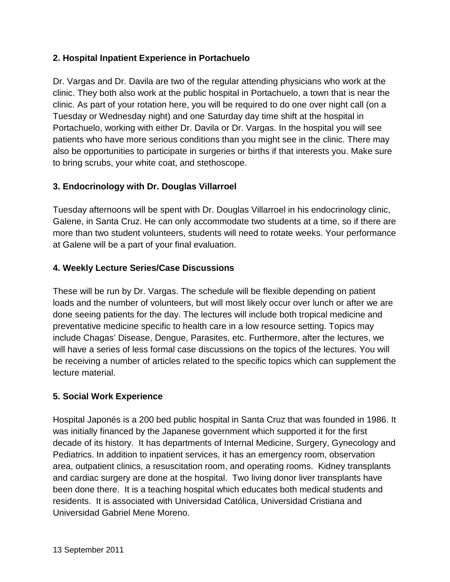# **2. Hospital Inpatient Experience in Portachuelo**

Dr. Vargas and Dr. Davila are two of the regular attending physicians who work at the clinic. They both also work at the public hospital in Portachuelo, a town that is near the clinic. As part of your rotation here, you will be required to do one over night call (on a Tuesday or Wednesday night) and one Saturday day time shift at the hospital in Portachuelo, working with either Dr. Davila or Dr. Vargas. In the hospital you will see patients who have more serious conditions than you might see in the clinic. There may also be opportunities to participate in surgeries or births if that interests you. Make sure to bring scrubs, your white coat, and stethoscope.

# **3. Endocrinology with Dr. Douglas Villarroel**

Tuesday afternoons will be spent with Dr. Douglas Villarroel in his endocrinology clinic, Galene, in Santa Cruz. He can only accommodate two students at a time, so if there are more than two student volunteers, students will need to rotate weeks. Your performance at Galene will be a part of your final evaluation.

# **4. Weekly Lecture Series/Case Discussions**

These will be run by Dr. Vargas. The schedule will be flexible depending on patient loads and the number of volunteers, but will most likely occur over lunch or after we are done seeing patients for the day. The lectures will include both tropical medicine and preventative medicine specific to health care in a low resource setting. Topics may include Chagas' Disease, Dengue, Parasites, etc. Furthermore, after the lectures, we will have a series of less formal case discussions on the topics of the lectures. You will be receiving a number of articles related to the specific topics which can supplement the lecture material.

# **5. Social Work Experience**

Hospital Japonés is a 200 bed public hospital in Santa Cruz that was founded in 1986. It was initially financed by the Japanese government which supported it for the first decade of its history. It has departments of Internal Medicine, Surgery, Gynecology and Pediatrics. In addition to inpatient services, it has an emergency room, observation area, outpatient clinics, a resuscitation room, and operating rooms. Kidney transplants and cardiac surgery are done at the hospital. Two living donor liver transplants have been done there. It is a teaching hospital which educates both medical students and residents. It is associated with Universidad Católica, Universidad Cristiana and Universidad Gabriel Mene Moreno.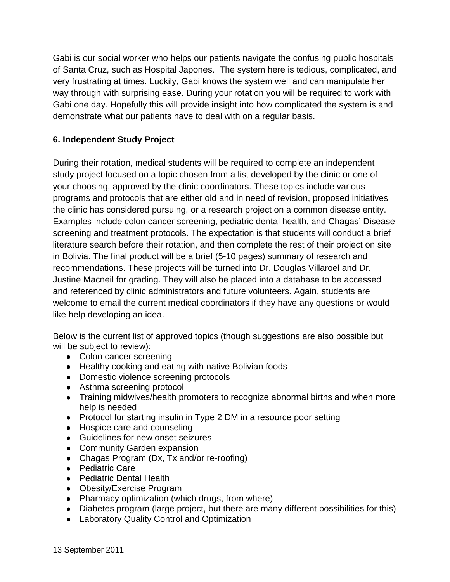Gabi is our social worker who helps our patients navigate the confusing public hospitals of Santa Cruz, such as Hospital Japones. The system here is tedious, complicated, and very frustrating at times. Luckily, Gabi knows the system well and can manipulate her way through with surprising ease. During your rotation you will be required to work with Gabi one day. Hopefully this will provide insight into how complicated the system is and demonstrate what our patients have to deal with on a regular basis.

# **6. Independent Study Project**

During their rotation, medical students will be required to complete an independent study project focused on a topic chosen from a list developed by the clinic or one of your choosing, approved by the clinic coordinators. These topics include various programs and protocols that are either old and in need of revision, proposed initiatives the clinic has considered pursuing, or a research project on a common disease entity. Examples include colon cancer screening, pediatric dental health, and Chagas' Disease screening and treatment protocols. The expectation is that students will conduct a brief literature search before their rotation, and then complete the rest of their project on site in Bolivia. The final product will be a brief (5-10 pages) summary of research and recommendations. These projects will be turned into Dr. Douglas Villaroel and Dr. Justine Macneil for grading. They will also be placed into a database to be accessed and referenced by clinic administrators and future volunteers. Again, students are welcome to email the current medical coordinators if they have any questions or would like help developing an idea.

Below is the current list of approved topics (though suggestions are also possible but will be subject to review):

- Colon cancer screening
- Healthy cooking and eating with native Bolivian foods
- Domestic violence screening protocols
- Asthma screening protocol
- Training midwives/health promoters to recognize abnormal births and when more help is needed
- Protocol for starting insulin in Type 2 DM in a resource poor setting
- Hospice care and counseling
- Guidelines for new onset seizures
- Community Garden expansion
- Chagas Program (Dx, Tx and/or re-roofing)
- Pediatric Care
- Pediatric Dental Health
- Obesity/Exercise Program
- Pharmacy optimization (which drugs, from where)
- Diabetes program (large project, but there are many different possibilities for this)
- Laboratory Quality Control and Optimization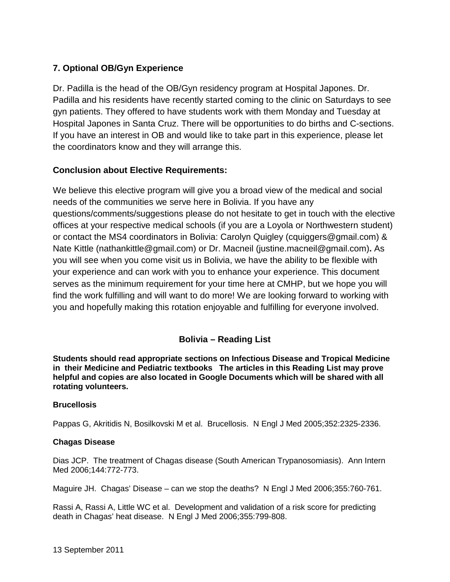# **7. Optional OB/Gyn Experience**

Dr. Padilla is the head of the OB/Gyn residency program at Hospital Japones. Dr. Padilla and his residents have recently started coming to the clinic on Saturdays to see gyn patients. They offered to have students work with them Monday and Tuesday at Hospital Japones in Santa Cruz. There will be opportunities to do births and C-sections. If you have an interest in OB and would like to take part in this experience, please let the coordinators know and they will arrange this.

# **Conclusion about Elective Requirements:**

We believe this elective program will give you a broad view of the medical and social needs of the communities we serve here in Bolivia. If you have any questions/comments/suggestions please do not hesitate to get in touch with the elective offices at your respective medical schools (if you are a Loyola or Northwestern student) or contact the MS4 coordinators in Bolivia: Carolyn Quigley (cquiggers@gmail.com) & Nate Kittle (nathankittle@gmail.com) or Dr. Macneil (justine.macneil@gmail.com)**.** As you will see when you come visit us in Bolivia, we have the ability to be flexible with your experience and can work with you to enhance your experience. This document serves as the minimum requirement for your time here at CMHP, but we hope you will find the work fulfilling and will want to do more! We are looking forward to working with you and hopefully making this rotation enjoyable and fulfilling for everyone involved.

# **Bolivia – Reading List**

**Students should read appropriate sections on Infectious Disease and Tropical Medicine in their Medicine and Pediatric textbooks The articles in this Reading List may prove helpful and copies are also located in Google Documents which will be shared with all rotating volunteers.**

### **Brucellosis**

Pappas G, Akritidis N, Bosilkovski M et al. Brucellosis. N Engl J Med 2005;352:2325-2336.

### **Chagas Disease**

Dias JCP. The treatment of Chagas disease (South American Trypanosomiasis). Ann Intern Med 2006;144:772-773.

Maguire JH. Chagas' Disease – can we stop the deaths? N Engl J Med 2006;355:760-761.

Rassi A, Rassi A, Little WC et al. Development and validation of a risk score for predicting death in Chagas' heat disease. N Engl J Med 2006;355:799-808.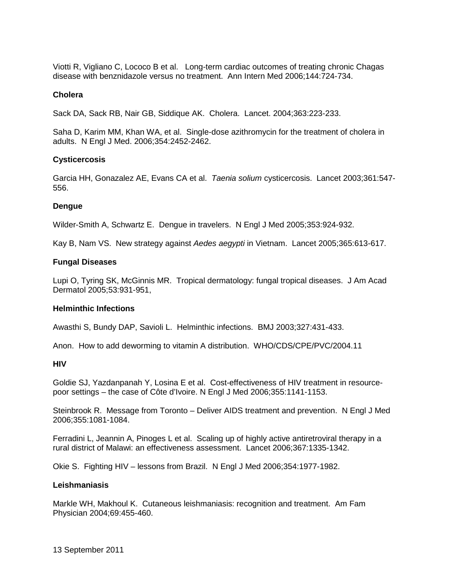Viotti R, Vigliano C, Lococo B et al. Long-term cardiac outcomes of treating chronic Chagas disease with benznidazole versus no treatment. Ann Intern Med 2006;144:724-734.

#### **Cholera**

Sack DA, Sack RB, Nair GB, Siddique AK. Cholera. Lancet. 2004;363:223-233.

Saha D, Karim MM, Khan WA, et al. Single-dose azithromycin for the treatment of cholera in adults. N Engl J Med. 2006;354:2452-2462.

#### **Cysticercosis**

Garcia HH, Gonazalez AE, Evans CA et al. *Taenia solium* cysticercosis. Lancet 2003;361:547- 556.

#### **Dengue**

Wilder-Smith A, Schwartz E. Dengue in travelers. N Engl J Med 2005;353:924-932.

Kay B, Nam VS. New strategy against *Aedes aegypti* in Vietnam. Lancet 2005;365:613-617.

#### **Fungal Diseases**

Lupi O, Tyring SK, McGinnis MR. Tropical dermatology: fungal tropical diseases. J Am Acad Dermatol 2005;53:931-951,

#### **Helminthic Infections**

Awasthi S, Bundy DAP, Savioli L. Helminthic infections. BMJ 2003;327:431-433.

Anon. How to add deworming to vitamin A distribution. WHO/CDS/CPE/PVC/2004.11

#### **HIV**

Goldie SJ, Yazdanpanah Y, Losina E et al. Cost-effectiveness of HIV treatment in resourcepoor settings – the case of Côte d'Ivoire. N Engl J Med 2006;355:1141-1153.

Steinbrook R. Message from Toronto – Deliver AIDS treatment and prevention. N Engl J Med 2006;355:1081-1084.

Ferradini L, Jeannin A, Pinoges L et al. Scaling up of highly active antiretroviral therapy in a rural district of Malawi: an effectiveness assessment. Lancet 2006;367:1335-1342.

Okie S. Fighting HIV – lessons from Brazil. N Engl J Med 2006;354:1977-1982.

### **Leishmaniasis**

Markle WH, Makhoul K. Cutaneous leishmaniasis: recognition and treatment. Am Fam Physician 2004;69:455-460.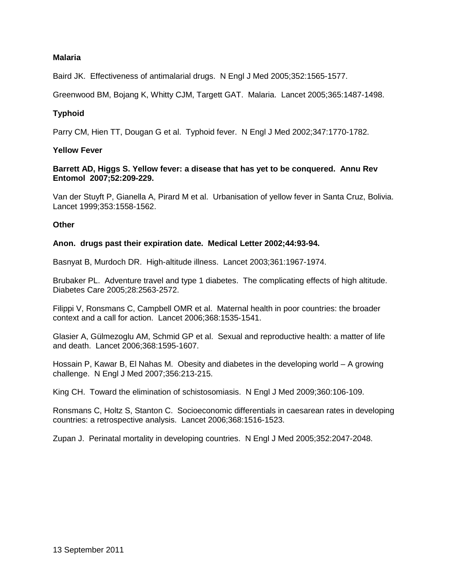### **Malaria**

Baird JK. Effectiveness of antimalarial drugs. N Engl J Med 2005;352:1565-1577.

Greenwood BM, Bojang K, Whitty CJM, Targett GAT. Malaria. Lancet 2005;365:1487-1498.

### **Typhoid**

Parry CM, Hien TT, Dougan G et al. Typhoid fever. N Engl J Med 2002;347:1770-1782.

### **Yellow Fever**

### **Barrett AD, Higgs S. Yellow fever: a disease that has yet to be conquered. Annu Rev Entomol 2007;52:209-229.**

Van der Stuyft P, Gianella A, Pirard M et al. Urbanisation of yellow fever in Santa Cruz, Bolivia. Lancet 1999;353:1558-1562.

### **Other**

#### **Anon. drugs past their expiration date. Medical Letter 2002;44:93-94.**

Basnyat B, Murdoch DR. High-altitude illness. Lancet 2003;361:1967-1974.

Brubaker PL. Adventure travel and type 1 diabetes. The complicating effects of high altitude. Diabetes Care 2005;28:2563-2572.

Filippi V, Ronsmans C, Campbell OMR et al. Maternal health in poor countries: the broader context and a call for action. Lancet 2006;368:1535-1541.

Glasier A, Gülmezoglu AM, Schmid GP et al. Sexual and reproductive health: a matter of life and death. Lancet 2006;368:1595-1607.

Hossain P, Kawar B, El Nahas M. Obesity and diabetes in the developing world – A growing challenge. N Engl J Med 2007;356:213-215.

King CH. Toward the elimination of schistosomiasis. N Engl J Med 2009;360:106-109.

Ronsmans C, Holtz S, Stanton C. Socioeconomic differentials in caesarean rates in developing countries: a retrospective analysis. Lancet 2006;368:1516-1523.

Zupan J. Perinatal mortality in developing countries. N Engl J Med 2005;352:2047-2048.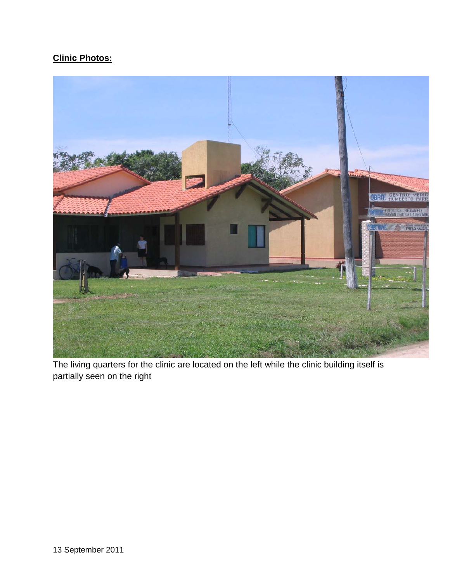# **Clinic Photos:**



The living quarters for the clinic are located on the left while the clinic building itself is partially seen on the right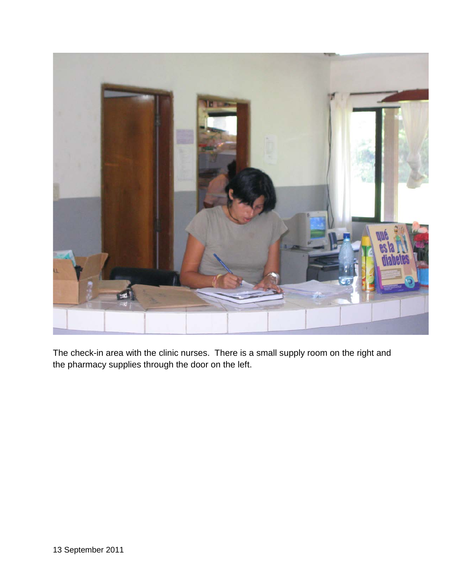

The check-in area with the clinic nurses. There is a small supply room on the right and the pharmacy supplies through the door on the left.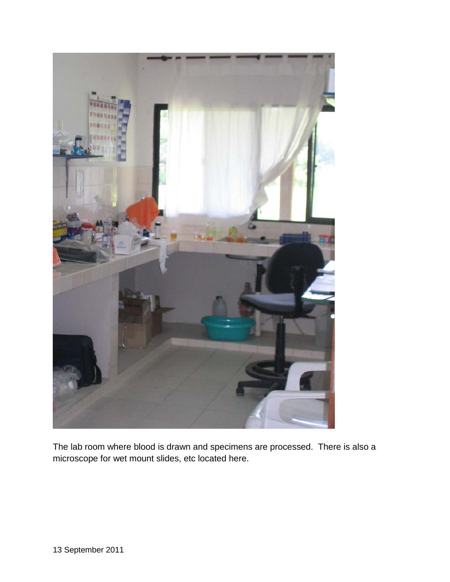

The lab room where blood is drawn and specimens are processed. There is also a microscope for wet mount slides, etc located here.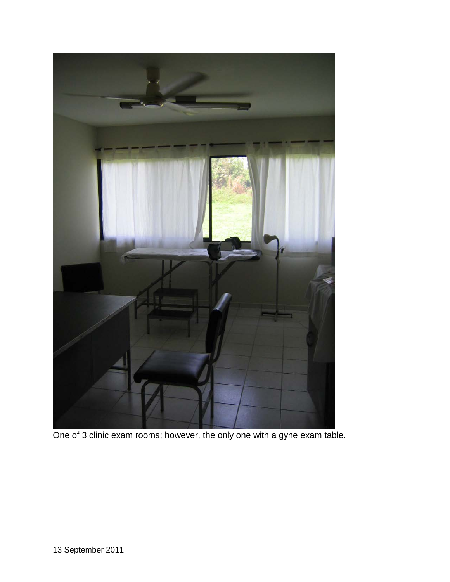

One of 3 clinic exam rooms; however, the only one with a gyne exam table.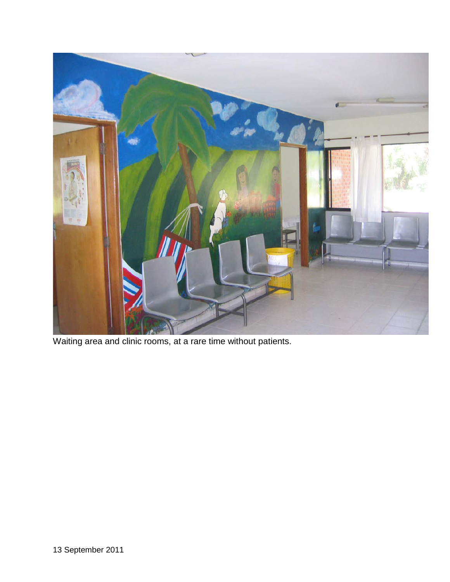

Waiting area and clinic rooms, at a rare time without patients.